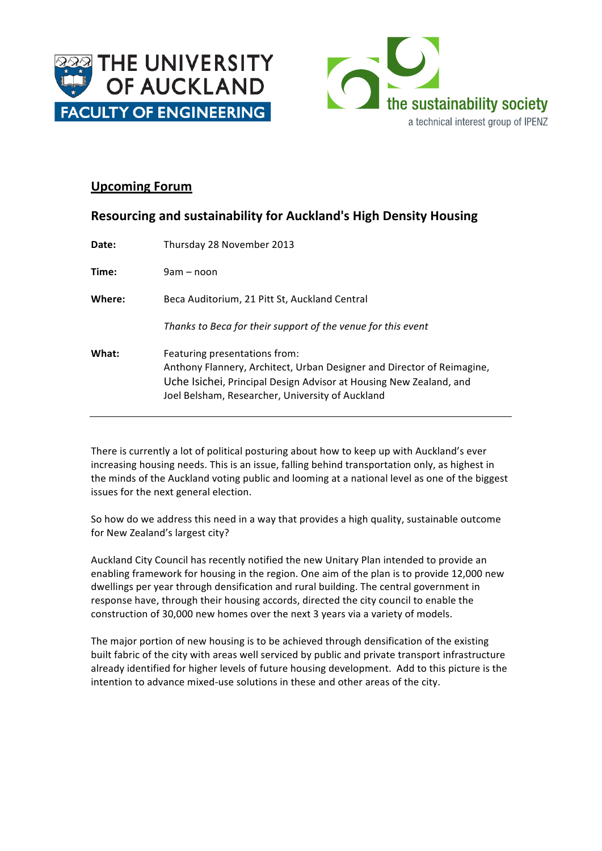



## **Upcoming Forum**

| <b>Resourcing and sustainability for Auckland's High Density Housing</b> |                                                                                                         |
|--------------------------------------------------------------------------|---------------------------------------------------------------------------------------------------------|
| Date:                                                                    | Thursday 28 November 2013                                                                               |
| Time:                                                                    | 9am – noon                                                                                              |
| Where:                                                                   | Beca Auditorium, 21 Pitt St, Auckland Central                                                           |
|                                                                          | Thanks to Beca for their support of the venue for this event                                            |
| What:                                                                    | Featuring presentations from:<br>Anthony Flannery, Architect, Urban Designer and Director of Reimagine. |

Anthony Flannery, Architect, Urban Designer and Director of Reimagine, Uche Isichei, Principal Design Advisor at Housing New Zealand, and Joel Belsham, Researcher, University of Auckland

There is currently a lot of political posturing about how to keep up with Auckland's ever increasing housing needs. This is an issue, falling behind transportation only, as highest in the minds of the Auckland voting public and looming at a national level as one of the biggest issues for the next general election.

So how do we address this need in a way that provides a high quality, sustainable outcome for New Zealand's largest city?

Auckland City Council has recently notified the new Unitary Plan intended to provide an enabling framework for housing in the region. One aim of the plan is to provide 12,000 new dwellings per year through densification and rural building. The central government in response have, through their housing accords, directed the city council to enable the construction of 30,000 new homes over the next 3 years via a variety of models.

The major portion of new housing is to be achieved through densification of the existing built fabric of the city with areas well serviced by public and private transport infrastructure already identified for higher levels of future housing development. Add to this picture is the intention to advance mixed-use solutions in these and other areas of the city.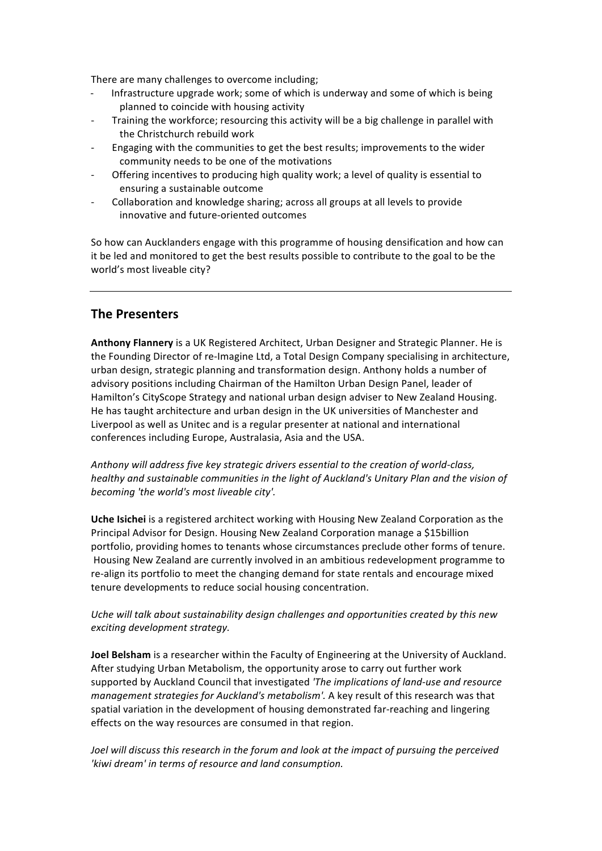There are many challenges to overcome including;

- Infrastructure upgrade work; some of which is underway and some of which is being planned to coincide with housing activity
- Training the workforce; resourcing this activity will be a big challenge in parallel with the Christchurch rebuild work
- Engaging with the communities to get the best results; improvements to the wider community needs to be one of the motivations
- Offering incentives to producing high quality work; a level of quality is essential to ensuring a sustainable outcome
- Collaboration and knowledge sharing; across all groups at all levels to provide innovative and future-oriented outcomes

So how can Aucklanders engage with this programme of housing densification and how can it be led and monitored to get the best results possible to contribute to the goal to be the world's most liveable city?

## **The Presenters**

**Anthony Flannery** is a UK Registered Architect, Urban Designer and Strategic Planner. He is the Founding Director of re-Imagine Ltd, a Total Design Company specialising in architecture, urban design, strategic planning and transformation design. Anthony holds a number of advisory positions including Chairman of the Hamilton Urban Design Panel, leader of Hamilton's CityScope Strategy and national urban design adviser to New Zealand Housing. He has taught architecture and urban design in the UK universities of Manchester and Liverpool as well as Unitec and is a regular presenter at national and international conferences including Europe, Australasia, Asia and the USA.

Anthony will address five key strategic drivers essential to the creation of world-class, *healthy* and sustainable communities in the light of Auckland's Unitary Plan and the vision of becoming 'the world's most liveable city'.

Uche Isichei is a registered architect working with Housing New Zealand Corporation as the Principal Advisor for Design. Housing New Zealand Corporation manage a \$15billion portfolio, providing homes to tenants whose circumstances preclude other forms of tenure. Housing New Zealand are currently involved in an ambitious redevelopment programme to re-align its portfolio to meet the changing demand for state rentals and encourage mixed tenure developments to reduce social housing concentration.

## Uche will talk about sustainability design challenges and opportunities created by this new *exciting development strategy.*

**Joel Belsham** is a researcher within the Faculty of Engineering at the University of Auckland. After studying Urban Metabolism, the opportunity arose to carry out further work supported by Auckland Council that investigated 'The implications of land-use and resource *management strategies for Auckland's metabolism'.* A key result of this research was that spatial variation in the development of housing demonstrated far-reaching and lingering effects on the way resources are consumed in that region.

Joel will discuss this research in the forum and look at the impact of pursuing the perceived 'kiwi dream' in terms of resource and land consumption.